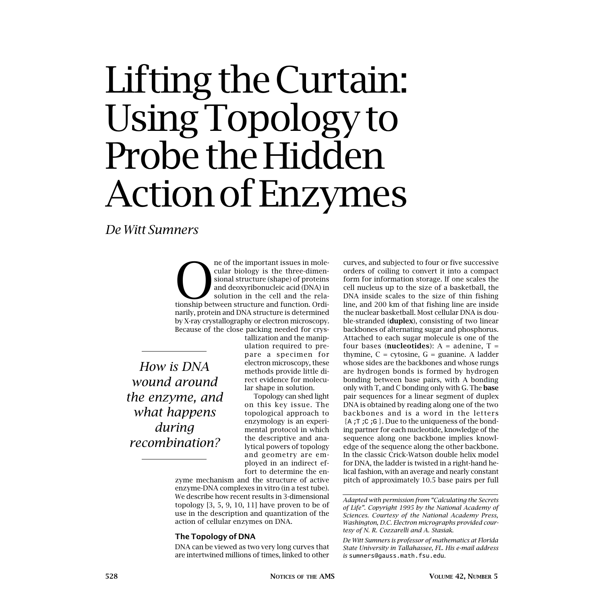# Lifting the Curtain: Using Topology to Probe the Hidden Action of Enzymes

*De Witt Sumners*

ne of the important issues in molecular biology is the three-dimensional structure (shape) of proteins and deoxyribonucleic acid (DNA) in solution in the cell and the relationship between structure and function. Ordicular biology is the three-dimensional structure (shape) of proteins and deoxyribonucleic acid (DNA) in solution in the cell and the relanarily, protein and DNA structure is determined by X-ray crystallography or electron microscopy. Because of the close packing needed for crys-

*How is DNA wound around the enzyme, and what happens during recombination?*

tallization and the manipulation required to prepare a specimen for electron microscopy, these methods provide little direct evidence for molecular shape in solution.

Topology can shed light on this key issue. The topological approach to enzymology is an experimental protocol in which the descriptive and analytical powers of topology and geometry are employed in an indirect effort to determine the en-

zyme mechanism and the structure of active enzyme-DNA complexes in vitro (in a test tube). We describe how recent results in 3-dimensional topology [3, 5, 9, 10, 11] have proven to be of use in the description and quantization of the action of cellular enzymes on DNA.

# **The Topology of DNA**

DNA can be viewed as two very long curves that are intertwined millions of times, linked to other curves, and subjected to four or five successive orders of coiling to convert it into a compact form for information storage. If one scales the cell nucleus up to the size of a basketball, the DNA inside scales to the size of thin fishing line, and 200 km of that fishing line are inside the nuclear basketball. Most cellular DNA is double-stranded (**duplex**), consisting of two linear backbones of alternating sugar and phosphorus. Attached to each sugar molecule is one of the four bases (**nucleotides**): A = adenine, T = thymine,  $C = cytosine$ ,  $G = guanine$ . A ladder whose sides are the backbones and whose rungs are hydrogen bonds is formed by hydrogen bonding between base pairs, with A bonding only with T, and C bonding only with G. The **base** pair sequences for a linear segment of duplex DNA is obtained by reading along one of the two backbones and is a word in the letters *{*A ;T ;C ;G *}*. Due to the uniqueness of the bonding partner for each nucleotide, knowledge of the sequence along one backbone implies knowledge of the sequence along the other backbone. In the classic Crick-Watson double helix model for DNA, the ladder is twisted in a right-hand helical fashion, with an average and nearly constant pitch of approximately 10.5 base pairs per full

*Adapted with permission from "Calculating the Secrets of Life". Copyright 1995 by the National Academy of Sciences. Courtesy of the National Academy Press, Washington, D.C. Electron micrographs provided courtesy of N. R. Cozzarelli and A. Stasiak.*

*De Witt Sumners is professor of mathematics at Florida State University in Tallahassee, FL. His e-mail address is* sumners@gauss.math.fsu.edu.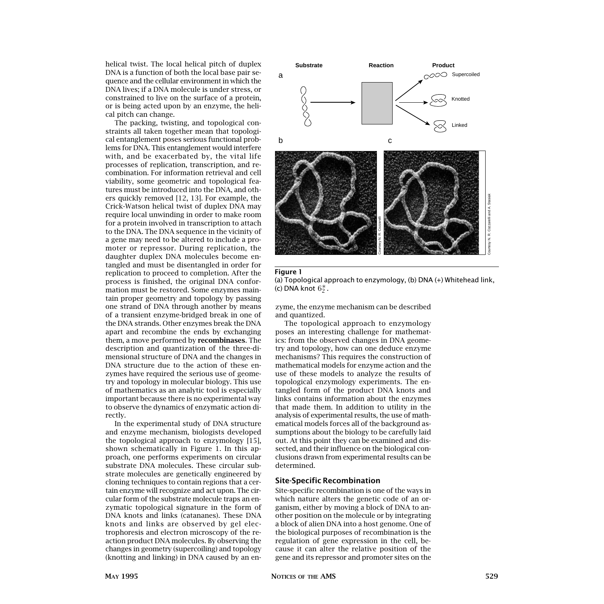helical twist. The local helical pitch of duplex DNA is a function of both the local base pair sequence and the cellular environment in which the DNA lives; if a DNA molecule is under stress, or constrained to live on the surface of a protein, or is being acted upon by an enzyme, the helical pitch can change.

The packing, twisting, and topological constraints all taken together mean that topological entanglement poses serious functional problems for DNA. This entanglement would interfere with, and be exacerbated by, the vital life processes of replication, transcription, and recombination. For information retrieval and cell viability, some geometric and topological features must be introduced into the DNA, and others quickly removed [12, 13]. For example, the Crick-Watson helical twist of duplex DNA may require local unwinding in order to make room for a protein involved in transcription to attach to the DNA. The DNA sequence in the vicinity of a gene may need to be altered to include a promoter or repressor. During replication, the daughter duplex DNA molecules become entangled and must be disentangled in order for replication to proceed to completion. After the process is finished, the original DNA conformation must be restored. Some enzymes maintain proper geometry and topology by passing one strand of DNA through another by means of a transient enzyme-bridged break in one of the DNA strands. Other enzymes break the DNA apart and recombine the ends by exchanging them, a move performed by **recombinases**. The description and quantization of the three-dimensional structure of DNA and the changes in DNA structure due to the action of these enzymes have required the serious use of geometry and topology in molecular biology. This use of mathematics as an analytic tool is especially important because there is no experimental way to observe the dynamics of enzymatic action directly.

In the experimental study of DNA structure and enzyme mechanism, biologists developed the topological approach to enzymology [15], shown schematically in Figure 1. In this approach, one performs experiments on circular substrate DNA molecules. These circular substrate molecules are genetically engineered by cloning techniques to contain regions that a certain enzyme will recognize and act upon. The circular form of the substrate molecule traps an enzymatic topological signature in the form of DNA knots and links (catananes). These DNA knots and links are observed by gel electrophoresis and electron microscopy of the reaction product DNA molecules. By observing the changes in geometry (supercoiling) and topology (knotting and linking) in DNA caused by an en-



## **Figure 1**

(a) Topological approach to enzymology, (b) DNA (+) Whitehead link, (c) DNA knot 6*<sup>∗</sup>* 2 .

zyme, the enzyme mechanism can be described and quantized.

The topological approach to enzymology poses an interesting challenge for mathematics: from the observed changes in DNA geometry and topology, how can one deduce enzyme mechanisms? This requires the construction of mathematical models for enzyme action and the use of these models to analyze the results of topological enzymology experiments. The entangled form of the product DNA knots and links contains information about the enzymes that made them. In addition to utility in the analysis of experimental results, the use of mathematical models forces all of the background assumptions about the biology to be carefully laid out. At this point they can be examined and dissected, and their influence on the biological conclusions drawn from experimental results can be determined.

# **Site-Specific Recombination**

Site-specific recombination is one of the ways in which nature alters the genetic code of an organism, either by moving a block of DNA to another position on the molecule or by integrating a block of alien DNA into a host genome. One of the biological purposes of recombination is the regulation of gene expression in the cell, because it can alter the relative position of the gene and its repressor and promoter sites on the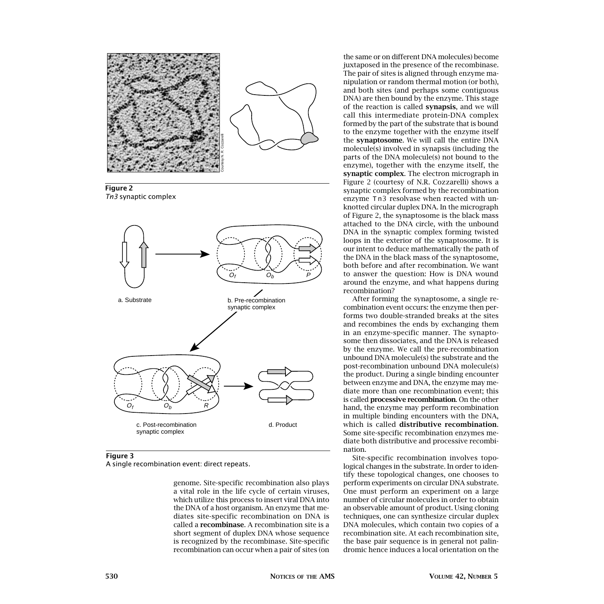

**Figure 2**  *Tn3* synaptic complex



# **Figure 3**

genome. Site-specific recombination also plays a vital role in the life cycle of certain viruses, which utilize this process to insert viral DNA into the DNA of a host organism. An enzyme that mediates site-specific recombination on DNA is called a **recombinase**. A recombination site is a short segment of duplex DNA whose sequence is recognized by the recombinase. Site-specific recombination can occur when a pair of sites (on the same or on different DNA molecules) become juxtaposed in the presence of the recombinase. The pair of sites is aligned through enzyme manipulation or random thermal motion (or both), and both sites (and perhaps some contiguous DNA) are then bound by the enzyme. This stage of the reaction is called **synapsis**, and we will call this intermediate protein-DNA complex formed by the part of the substrate that is bound to the enzyme together with the enzyme itself the **synaptosome**. We will call the entire DNA molecule(s) involved in synapsis (including the parts of the DNA molecule(s) not bound to the enzyme), together with the enzyme itself, the **synaptic complex**. The electron micrograph in Figure 2 (courtesy of N.R. Cozzarelli) shows a synaptic complex formed by the recombination enzyme  $\texttt{m3}$  resolvase when reacted with unknotted circular duplex DNA. In the micrograph of Figure 2, the synaptosome is the black mass attached to the DNA circle, with the unbound DNA in the synaptic complex forming twisted loops in the exterior of the synaptosome. It is our intent to deduce mathematically the path of the DNA in the black mass of the synaptosome, both before and after recombination. We want to answer the question: How is DNA wound around the enzyme, and what happens during recombination?

After forming the synaptosome, a single recombination event occurs: the enzyme then performs two double-stranded breaks at the sites and recombines the ends by exchanging them in an enzyme-specific manner. The synaptosome then dissociates, and the DNA is released by the enzyme. We call the pre-recombination unbound DNA molecule(s) the substrate and the post-recombination unbound DNA molecule(s) the product. During a single binding encounter between enzyme and DNA, the enzyme may mediate more than one recombination event; this is called **processive recombination**. On the other hand, the enzyme may perform recombination in multiple binding encounters with the DNA, which is called **distributive recombination**. Some site-specific recombination enzymes mediate both distributive and processive recombination.

Site-specific recombination involves topological changes in the substrate. In order to identify these topological changes, one chooses to perform experiments on circular DNA substrate. One must perform an experiment on a large number of circular molecules in order to obtain an observable amount of product. Using cloning techniques, one can synthesize circular duplex DNA molecules, which contain two copies of a recombination site. At each recombination site, the base pair sequence is in general not palindromic hence induces a local orientation on the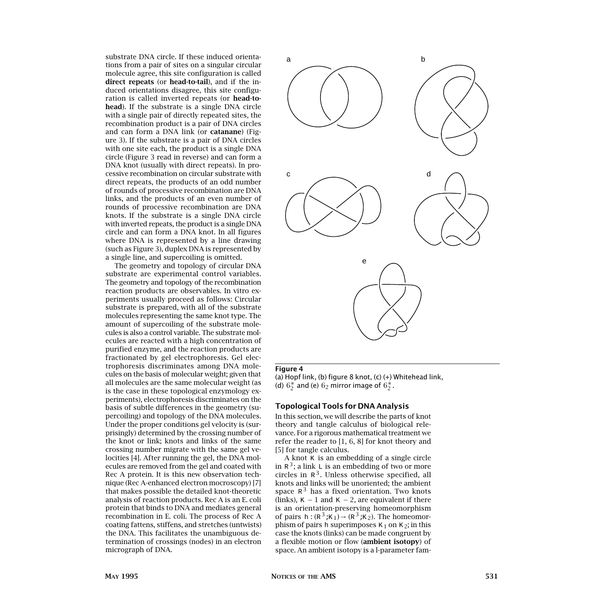substrate DNA circle. If these induced orientations from a pair of sites on a singular circular molecule agree, this site configuration is called **direct repeats** (or **head-to-tail**), and if the induced orientations disagree, this site configuration is called inverted repeats (or **head-tohead**). If the substrate is a single DNA circle with a single pair of directly repeated sites, the recombination product is a pair of DNA circles and can form a DNA link (or **catanane**) (Figure 3). If the substrate is a pair of DNA circles with one site each, the product is a single DNA circle (Figure 3 read in reverse) and can form a DNA knot (usually with direct repeats). In processive recombination on circular substrate with direct repeats, the products of an odd number of rounds of processive recombination are DNA links, and the products of an even number of rounds of processive recombination are DNA knots. If the substrate is a single DNA circle with inverted repeats, the product is a single DNA circle and can form a DNA knot. In all figures where DNA is represented by a line drawing (such as Figure 3), duplex DNA is represented by a single line, and supercoiling is omitted.

The geometry and topology of circular DNA substrate are experimental control variables. The geometry and topology of the recombination reaction products are observables. In vitro experiments usually proceed as follows: Circular substrate is prepared, with all of the substrate molecules representing the same knot type. The amount of supercoiling of the substrate molecules is also a control variable. The substrate molecules are reacted with a high concentration of purified enzyme, and the reaction products are fractionated by gel electrophoresis. Gel electrophoresis discriminates among DNA molecules on the basis of molecular weight; given that all molecules are the same molecular weight (as is the case in these topological enzymology experiments), electrophoresis discriminates on the basis of subtle differences in the geometry (supercoiling) and topology of the DNA molecules. Under the proper conditions gel velocity is (surprisingly) determined by the crossing number of the knot or link; knots and links of the same crossing number migrate with the same gel velocities [4]. After running the gel, the DNA molecules are removed from the gel and coated with Rec A protein. It is this new observation technique (Rec A-enhanced electron mocroscopy) [7] that makes possible the detailed knot-theoretic analysis of reaction products. Rec A is an E. coli protein that binds to DNA and mediates general recombination in E. coli. The process of Rec A coating fattens, stiffens, and stretches (untwists) the DNA. This facilitates the unambiguous determination of crossings (nodes) in an electron micrograph of DNA.



### **Figure 4**

(a) Hopf link, (b) figure 8 knot, (c) (+) Whitehead link, (d)  $6\frac{*}{2}$  and (e)  $6\frac{*}{2}$  mirror image of  $6\frac{*}{2}$ .

## **Topological Tools for DNA Analysis**

In this section, we will describe the parts of knot theory and tangle calculus of biological relevance. For a rigorous mathematical treatment we refer the reader to [1, 6, 8] for knot theory and [5] for tangle calculus.

A knot  $K$  is an embedding of a single circle in  $R^3$ ; a link L is an embedding of two or more circles in  $R<sup>3</sup>$ . Unless otherwise specified, all knots and links will be unoriented; the ambient space  $R<sup>3</sup>$  has a fixed orientation. Two knots (links),  $K - 1$  and  $K - 2$ , are equivalent if there is an orientation-preserving homeomorphism of pairs h :  $(\mathbb{R}^3;\mathbb{K}_1)$  →  $(\mathbb{R}^3;\mathbb{K}_2)$ . The homeomorphism of pairs h superimposes  $K_1$  on  $K_2$ ; in this case the knots (links) can be made congruent by a flexible motion or flow (**ambient isotopy**) of space. An ambient isotopy is a l-parameter fam-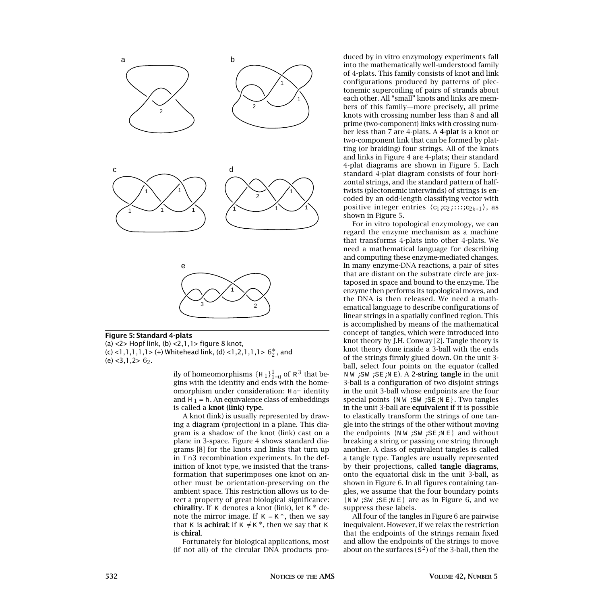

# **Figure 5: Standard 4-plats**

(a)  $<$  2> Hopf link, (b)  $<$  2, 1, 1 > figure 8 knot, (c) <1,1,1,1,1> (+) Whitehead link, (d) <1,2,1,1,1> 6*<sup>∗</sup>* <sup>2</sup> , and  $(e)$  < 3, 1, 2> 6<sub>2</sub>.

> ily of homeomorphisms  ${H_1}_{1=0}^1$  of  $R^3$  that begins with the identity and ends with the homeomorphism under consideration:  $H_0$ = identity and  $H_1 = h$ . An equivalence class of embeddings is called a **knot (link) type**.

> A knot (link) is usually represented by drawing a diagram (projection) in a plane. This diagram is a shadow of the knot (link) cast on a plane in 3-space. Figure 4 shows standard diagrams [8] for the knots and links that turn up in  $\texttt{m3}$  recombination experiments. In the definition of knot type, we insisted that the transformation that superimposes one knot on another must be orientation-preserving on the ambient space. This restriction allows us to detect a property of great biological significance: **chirality**. If K denotes a knot (link), let  $K^*$  denote the mirror image. If  $K = K^*$ , then we say that K is **achiral**; if  $K \neq K^*$ , then we say that K is **chiral**.

> Fortunately for biological applications, most (if not all) of the circular DNA products pro

duced by in vitro enzymology experiments fall into the mathematically well-understood family of 4-plats. This family consists of knot and link configurations produced by patterns of plectonemic supercoiling of pairs of strands about each other. All "small" knots and links are members of this family—more precisely, all prime knots with crossing number less than 8 and all prime (two-component) links with crossing number less than 7 are 4-plats. A **4-plat** is a knot or two-component link that can be formed by platting (or braiding) four strings. All of the knots and links in Figure 4 are 4-plats; their standard 4-plat diagrams are shown in Figure 5. Each standard 4-plat diagram consists of four horizontal strings, and the standard pattern of halftwists (plectonemic interwinds) of strings is encoded by an odd-length classifying vector with positive integer entries  $\langle c_1;c_2;\cdots;c_{2k+1}\rangle$ , as shown in Figure 5.

For in vitro topological enzymology, we can regard the enzyme mechanism as a machine that transforms 4-plats into other 4-plats. We need a mathematical language for describing and computing these enzyme-mediated changes. In many enzyme-DNA reactions, a pair of sites that are distant on the substrate circle are juxtaposed in space and bound to the enzyme. The enzyme then performs its topological moves, and the DNA is then released. We need a mathematical language to describe configurations of linear strings in a spatially confined region. This is accomplished by means of the mathematical concept of tangles, which were introduced into knot theory by J.H. Conway [2]. Tangle theory is knot theory done inside a 3-ball with the ends of the strings firmly glued down. On the unit 3 ball, select four points on the equator (called N W ;SW ;SE;N E). A **2-string tangle** in the unit 3-ball is a configuration of two disjoint strings in the unit 3-ball whose endpoints are the four special points *{*N W ;SW ;SE;N E*}*. Two tangles in the unit 3-ball are **equivalent** if it is possible to elastically transform the strings of one tangle into the strings of the other without moving the endpoints *{*N W ;SW ;SE;N E*}* and without breaking a string or passing one string through another. A class of equivalent tangles is called a tangle type. Tangles are usually represented by their projections, called **tangle diagrams**, onto the equatorial disk in the unit 3-ball, as shown in Figure 6. In all figures containing tangles, we assume that the four boundary points *{*N W ;SW ;SE;N E*}* are as in Figure 6, and we suppress these labels.

All four of the tangles in Figure 6 are pairwise inequivalent. However, if we relax the restriction that the endpoints of the strings remain fixed and allow the endpoints of the strings to move about on the surfaces  $(s^2)$  of the 3-ball, then the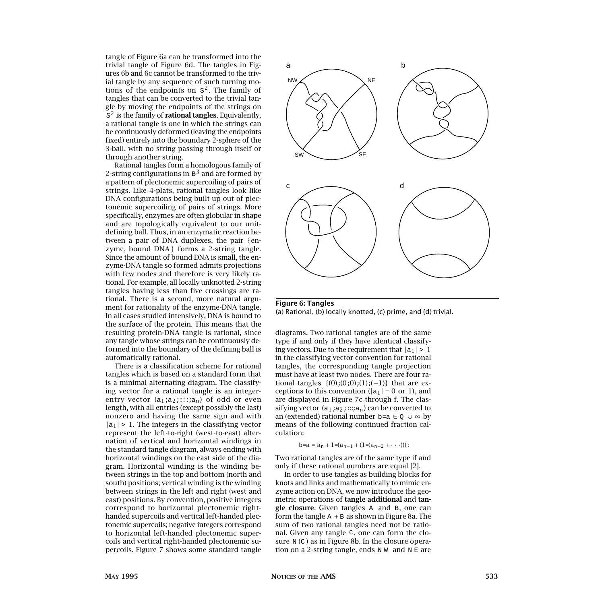tangle of Figure 6a can be transformed into the trivial tangle of Figure 6d. The tangles in Figures 6b and 6c cannot be transformed to the trivial tangle by any sequence of such turning motions of the endpoints on  $s^2$ . The family of tangles that can be converted to the trivial tangle by moving the endpoints of the strings on  $s<sup>2</sup>$  is the family of **rational tangles**. Equivalently, a rational tangle is one in which the strings can be continuously deformed (leaving the endpoints fixed) entirely into the boundary 2-sphere of the 3-ball, with no string passing through itself or through another string.

Rational tangles form a homologous family of 2-string configurations in  $B^3$  and are formed by a pattern of plectonemic supercoiling of pairs of strings. Like 4-plats, rational tangles look like DNA configurations being built up out of plectonemic supercoiling of pairs of strings. More specifically, enzymes are often globular in shape and are topologically equivalent to our unitdefining ball. Thus, in an enzymatic reaction between a pair of DNA duplexes, the pair *{*enzyme, bound DNA*}* forms a 2-string tangle. Since the amount of bound DNA is small, the enzyme-DNA tangle so formed admits projections with few nodes and therefore is very likely rational. For example, all locally unknotted 2-string tangles having less than five crossings are rational. There is a second, more natural argument for rationality of the enzyme-DNA tangle. In all cases studied intensively, DNA is bound to the surface of the protein. This means that the resulting protein-DNA tangle is rational, since any tangle whose strings can be continuously deformed into the boundary of the defining ball is automatically rational.

There is a classification scheme for rational tangles which is based on a standard form that is a minimal alternating diagram. The classifying vector for a rational tangle is an integerentry vector  $(a_1; a_2; \ldots; a_n)$  of odd or even length, with all entries (except possibly the last) nonzero and having the same sign and with *|*a1*|* > 1. The integers in the classifying vector represent the left-to-right (west-to-east) alternation of vertical and horizontal windings in the standard tangle diagram, always ending with horizontal windings on the east side of the diagram. Horizontal winding is the winding between strings in the top and bottom (north and south) positions; vertical winding is the winding between strings in the left and right (west and east) positions. By convention, positive integers correspond to horizontal plectonemic righthanded supercoils and vertical left-handed plectonemic supercoils; negative integers correspond to horizontal left-handed plectonemic supercoils and vertical right-handed plectonemic supercoils. Figure 7 shows some standard tangle



**Figure 6: Tangles** (a) Rational, (b) locally knotted, (c) prime, and (d) trivial.

diagrams. Two rational tangles are of the same type if and only if they have identical classifying vectors. Due to the requirement that  $|a_1| > 1$ in the classifying vector convention for rational tangles, the corresponding tangle projection must have at least two nodes. There are four rational tangles  ${(0):(0):(0):(1)*(-1)}$  that are exceptions to this convention ( $|a_1| = 0$  or 1), and are displayed in Figure 7c through f. The classifying vector  $(a_1; a_2; \dots; a_n)$  can be converted to an (extended) rational number b=a *∈* Q *∪ ∞* by means of the following continued fraction calculation:

$$
b=a=a_n+1=(a_{n-1}+(1=(a_{n-2}+\cdots))):
$$

Two rational tangles are of the same type if and only if these rational numbers are equal [2].

In order to use tangles as building blocks for knots and links and mathematically to mimic enzyme action on DNA, we now introduce the geometric operations of **tangle additional** and **tangle closure**. Given tangles A and B, one can form the tangle  $A + B$  as shown in Figure 8a. The sum of two rational tangles need not be rational. Given any tangle  $\circ$ , one can form the closure  $N(C)$  as in Figure 8b. In the closure operation on a 2-string tangle, ends  $N$  W and  $N$  E are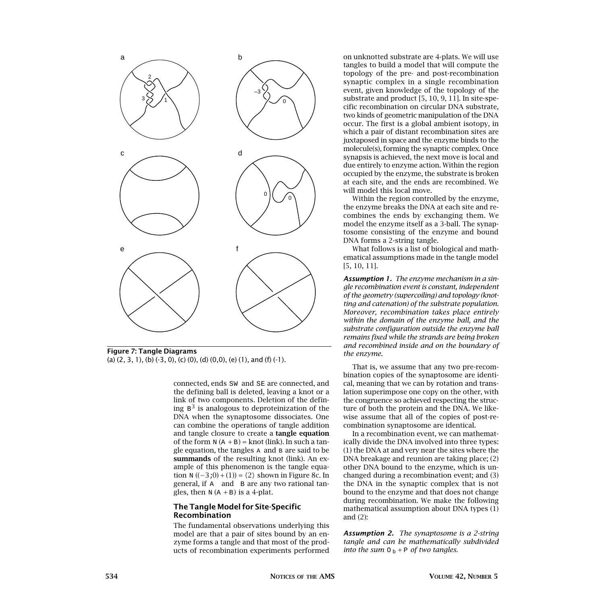

**Figure 7: Tangle Diagrams** (a)  $(2, 3, 1)$ , (b)  $(-3, 0)$ , (c)  $(0)$ , (d)  $(0,0)$ , (e)  $(1)$ , and  $(f)$   $(-1)$ .

connected, ends SW and SE are connected, and the defining ball is deleted, leaving a knot or a link of two components. Deletion of the defining  $B^3$  is analogous to deproteinization of the DNA when the synaptosome dissociates. One can combine the operations of tangle addition and tangle closure to create a **tangle equation** of the form  $N(A + B) =$  knot (link). In such a tangle equation, the tangles  $\Delta$  and  $\Delta$  are said to be **summands** of the resulting knot (link). An example of this phenomenon is the tangle equation  $N((-3;0) + (1)) = (2)$  shown in Figure 8c. In general, if A and B are any two rational tangles, then  $N(A + B)$  is a 4-plat.

# **The Tangle Model for Site-Specific Recombination**

The fundamental observations underlying this model are that a pair of sites bound by an enzyme forms a tangle and that most of the products of recombination experiments performed on unknotted substrate are 4-plats. We will use tangles to build a model that will compute the topology of the pre- and post-recombination synaptic complex in a single recombination event, given knowledge of the topology of the substrate and product [5, 10, 9, 11]. In site-specific recombination on circular DNA substrate, two kinds of geometric manipulation of the DNA occur. The first is a global ambient isotopy, in which a pair of distant recombination sites are juxtaposed in space and the enzyme binds to the molecule(s), forming the synaptic complex. Once synapsis is achieved, the next move is local and due entirely to enzyme action. Within the region occupied by the enzyme, the substrate is broken at each site, and the ends are recombined. We will model this local move.

Within the region controlled by the enzyme, the enzyme breaks the DNA at each site and recombines the ends by exchanging them. We model the enzyme itself as a 3-ball. The synaptosome consisting of the enzyme and bound DNA forms a 2-string tangle.

What follows is a list of biological and mathematical assumptions made in the tangle model [5, 10, 11].

*Assumption 1. The enzyme mechanism in a single recombination event is constant, independent of the geometry (supercoiling) and topology (knotting and catenation) of the substrate population. Moreover, recombination takes place entirely within the domain of the enzyme ball, and the substrate configuration outside the enzyme ball remains fixed while the strands are being broken and recombined inside and on the boundary of the enzyme.*

That is, we assume that any two pre-recombination copies of the synaptosome are identical, meaning that we can by rotation and translation superimpose one copy on the other, with the congruence so achieved respecting the structure of both the protein and the DNA. We likewise assume that all of the copies of post-recombination synaptosome are identical.

In a recombination event, we can mathematically divide the DNA involved into three types: (1) the DNA at and very near the sites where the DNA breakage and reunion are taking place; (2) other DNA bound to the enzyme, which is unchanged during a recombination event; and (3) the DNA in the synaptic complex that is not bound to the enzyme and that does not change during recombination. We make the following mathematical assumption about DNA types (1) and (2):

*Assumption 2. The synaptosome is a 2-string tangle and can be mathematically subdivided into the sum*  $O_b + P$  *of two tangles.*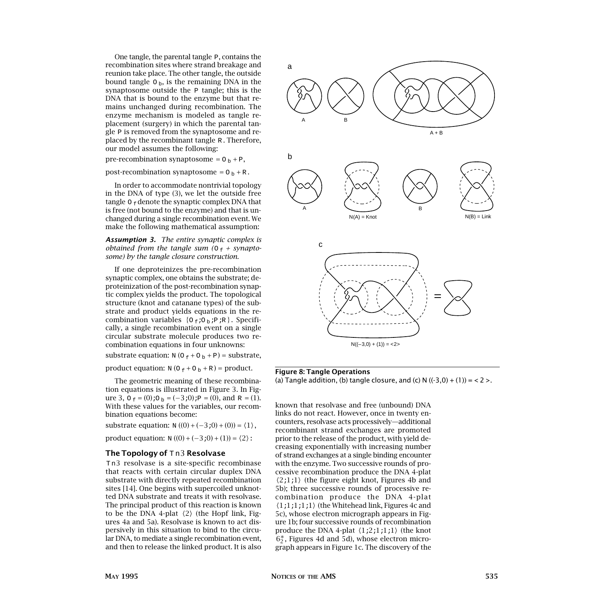One tangle, the parental tangle P, contains the recombination sites where strand breakage and reunion take place. The other tangle, the outside bound tangle  $O_b$ , is the remaining DNA in the synaptosome outside the P tangle; this is the DNA that is bound to the enzyme but that remains unchanged during recombination. The enzyme mechanism is modeled as tangle replacement (surgery) in which the parental tangle P is removed from the synaptosome and replaced by the recombinant tangle R . Therefore, our model assumes the following:

pre-recombination synaptosome =  $O_b + P$ ,

post-recombination synaptosome =  $O_b + R$ .

In order to accommodate nontrivial topology in the DNA of type (3), we let the outside free tangle  $\circ$   $\epsilon$  denote the synaptic complex DNA that is free (not bound to the enzyme) and that is unchanged during a single recombination event. We make the following mathematical assumption:

*Assumption 3. The entire synaptic complex is obtained from the tangle sum* ( $O_f$  + *synaptosome) by the tangle closure construction.*

If one deproteinizes the pre-recombination synaptic complex, one obtains the substrate; deproteinization of the post-recombination synaptic complex yields the product. The topological structure (knot and catanane types) of the substrate and product yields equations in the recombination variables  ${O_f : O_b : P : R}$ . Specifically, a single recombination event on a single circular substrate molecule produces two recombination equations in four unknowns:

substrate equation:  $N(0_f + 0_b + P) =$  substrate,

product equation:  $N(0_f + 0_b + R) =$  product.

The geometric meaning of these recombination equations is illustrated in Figure 3. In Figure 3,  $O_f = (0); O_D = (-3;0); P = (0), \text{ and } R = (1).$ With these values for the variables, our recombination equations become:

substrate equation:  $N((0) + (-3,0) + (0)) = (1),$ 

product equation:  $N((0) + (-3,0) + (1)) = (2)$ :

# **The Topology of** T n3 **Resolvase**

T n3 resolvase is a site-specific recombinase that reacts with certain circular duplex DNA substrate with directly repeated recombination sites [14]. One begins with supercoiled unknotted DNA substrate and treats it with resolvase. The principal product of this reaction is known to be the DNA 4-plat  $\langle 2 \rangle$  (the Hopf link, Figures 4a and 5a). Resolvase is known to act dispersively in this situation to bind to the circular DNA, to mediate a single recombination event, and then to release the linked product. It is also



# **Figure 8: Tangle Operations**

(a) Tangle addition, (b) tangle closure, and (c) N  $((-3,0) + (1)) = 2$ .

known that resolvase and free (unbound) DNA links do not react. However, once in twenty encounters, resolvase acts processively—additional recombinant strand exchanges are promoted prior to the release of the product, with yield decreasing exponentially with increasing number of strand exchanges at a single binding encounter with the enzyme. Two successive rounds of processive recombination produce the DNA 4-plat *h*2;1;1*i* (the figure eight knot, Figures 4b and 5b); three successive rounds of processive recombination produce the DNA 4-plat *h*1;1;1;1;1*i* (the Whitehead link, Figures 4c and 5c), whose electron micrograph appears in Figure 1b; four successive rounds of recombination produce the DNA 4-plat  $\langle 1;2;1;1;1 \rangle$  (the knot 6*∗* <sup>2</sup> , Figures 4d and 5d), whose electron micrograph appears in Figure 1c. The discovery of the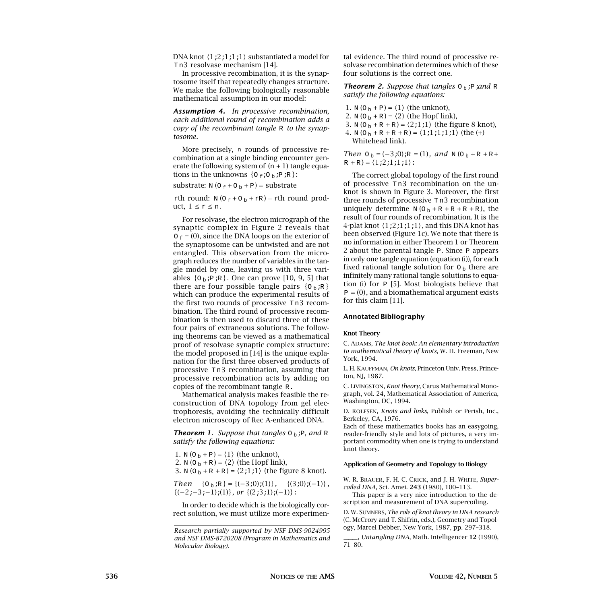DNA knot  $\langle 1;2;1;1;1 \rangle$  substantiated a model for Tn3 resolvase mechanism [14].

In processive recombination, it is the synaptosome itself that repeatedly changes structure. We make the following biologically reasonable mathematical assumption in our model:

*Assumption 4. In processive recombination, each additional round of recombination adds a copy of the recombinant tangle* R *to the synaptosome.*

More precisely, n rounds of processive recombination at a single binding encounter generate the following system of  $(n + 1)$  tangle equations in the unknowns  $\{O_f \cap D_b \in \mathbb{R} \}$ :

substrate:  $N(0_f + 0_b + P) =$  substrate

rth round:  $N(0_f + 0_b + rR) = rth$  round product,  $1 \leq r \leq n$ .

For resolvase, the electron micrograph of the synaptic complex in Figure 2 reveals that  $O_f = (0)$ , since the DNA loops on the exterior of the synaptosome can be untwisted and are not entangled. This observation from the micrograph reduces the number of variables in the tangle model by one, leaving us with three variables  $\{O_b$ ; P;R $\}$ . One can prove [10, 9, 5] that there are four possible tangle pairs  $\{O_b; R\}$ which can produce the experimental results of the first two rounds of processive T n3 recombination. The third round of processive recombination is then used to discard three of these four pairs of extraneous solutions. The following theorems can be viewed as a mathematical proof of resolvase synaptic complex structure: the model proposed in [14] is the unique explanation for the first three observed products of processive T n3 recombination, assuming that processive recombination acts by adding on copies of the recombinant tangle R .

Mathematical analysis makes feasible the reconstruction of DNA topology from gel electrophoresis, avoiding the technically difficult electron microscopy of Rec A-enhanced DNA.

*Theorem 1. Suppose that tangles*  $\circ$ <sub>b</sub>; P, and R *satisfy the following equations:* 

- 1.  $N(0_b + P) = \langle 1 \rangle$  (the unknot),
- 2.  $N(0_b + R) = \langle 2 \rangle$  (the Hopf link),
- 3.  $N(0_b + R + R) = (2i1i1)$  (the figure 8 knot).

*Then*  $\{O_b : R\} = \{(-3:0):(1)\}, \{(3:0):(-1)\},$ *{*(*−*2;*−*3;*−*1);(1)*}, or {*(2;3;1);(*−*1)*}*:

In order to decide which is the biologically correct solution, we must utilize more experimental evidence. The third round of processive resolvase recombination determines which of these four solutions is the correct one.

*Theorem 2. Suppose that tangles*  $O_b$ *iP ignd* R *satisfy the following equations:* 

- 1.  $N(O_b + P) = \langle 1 \rangle$  (the unknot),
- 2. N ( $O_b + R$ ) =  $\langle 2 \rangle$  (the Hopf link),
- 3.  $N(0_b + R + R) = \langle 2;1;1 \rangle$  (the figure 8 knot),
- 4.  $N(0_b + R + R + R) = \langle 1;1;1;1;1 \rangle$  (the (+) Whitehead link).

*Then*  $O_b = (-3:0); R = (1)$ *, and*  $N(O_b + R + R + P)$  $R + R$ ) =  $\langle 1;2;1;1;1 \rangle$ :

The correct global topology of the first round of processive T n3 recombination on the unknot is shown in Figure 3. Moreover, the first three rounds of processive  $\texttt{m3}$  recombination uniquely determine  $N(0_b + R + R + R + R)$ , the result of four rounds of recombination. It is the 4-plat knot *h*1;2;1;1;1*i*, and this DNA knot has been observed (Figure 1c). We note that there is no information in either Theorem 1 or Theorem 2 about the parental tangle P. Since P appears in only one tangle equation (equation (i)), for each fixed rational tangle solution for  $O_b$  there are infinitely many rational tangle solutions to equation (i) for  $P$  [5]. Most biologists believe that  $P = (0)$ , and a biomathematical argument exists for this claim [11].

### **Annotated Bibliography**

### **Knot Theory**

C. Adams, *The knot book: An elementary introduction to mathematical theory of knots*, W. H. Freeman, New York, 1994.

L. H. Kauffman, *On knots*, Princeton Univ. Press, Princeton, NJ, 1987.

C. Livingston, *Knot theory*, Carus Mathematical Monograph, vol. 24, Mathematical Association of America, Washington, DC, 1994.

D. Rolfsen, *Knots and links*, Publish or Perish, Inc., Berkeley, CA, 1976.

Each of these mathematics books has an easygoing, reader-friendly style and lots of pictures, a very important commodity when one is trying to understand knot theory.

### **Application of Geometry and Topology to Biology**

W. R. Brauer, F. H. C. Crick, and J. H. White, *Supercoiled DNA*, Sci. Amei. **243** (1980), 100–113.

This paper is a very nice introduction to the description and measurement of DNA supercoiling.

D. W. Sumners, *The role of knot theory in DNA research* (C. McCrory and T. Shifrin, eds.), Geometry and Topology, Marcel Debber, New York, 1987, pp. 297–318.

———, *Untangling DNA*, Math. Intelligencer **12** (1990), 71–80.

*Research partially supported by NSF DMS-9024995 and NSF DMS-8720208 (Program in Mathematics and Molecular Biology).*